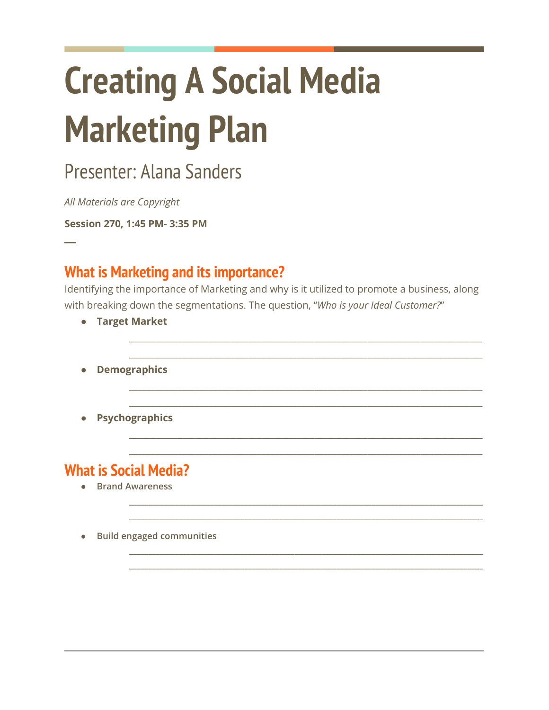# **Creating A Social Media Marketing Plan**

## Presenter: Alana Sanders

All Materials are Copyright

Session 270, 1:45 PM- 3:35 PM

#### **What is Marketing and its importance?**

Identifying the importance of Marketing and why is it utilized to promote a business, along with breaking down the segmentations. The question, "Who is your Ideal Customer?"

- Target Market
- Demographics
- **Psychographics**

#### **What is Social Media?**

- Brand Awareness
- Build engaged communities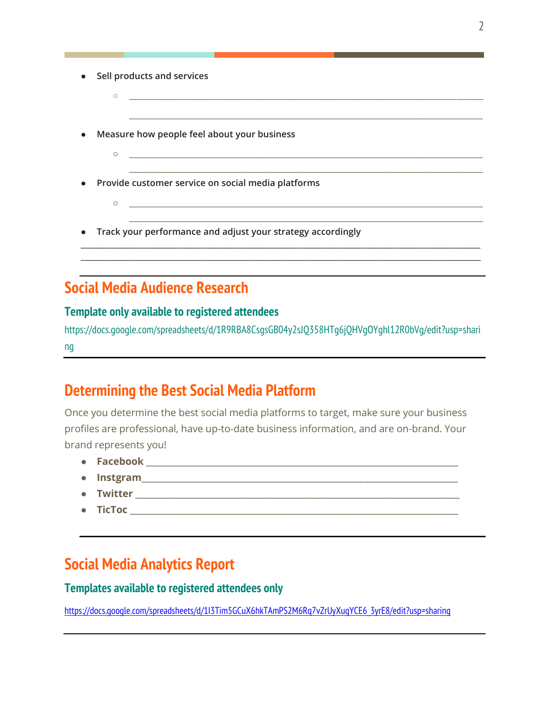- **Sell products and services**
- **\_\_\_\_\_\_\_\_\_\_\_\_\_\_\_\_\_\_\_\_\_\_\_\_\_\_\_\_\_\_\_\_\_\_\_\_\_\_\_\_\_\_\_\_\_\_\_\_\_\_\_\_\_\_\_\_\_\_\_\_\_\_\_\_\_\_\_\_\_\_\_\_\_\_\_\_\_\_\_\_\_\_\_\_\_\_\_\_\_\_\_\_ \_\_\_\_\_\_\_\_\_\_\_\_\_\_\_\_\_\_\_\_\_\_\_\_\_\_\_\_\_\_\_\_\_\_\_\_\_\_\_\_\_\_\_\_\_\_\_\_\_\_\_\_\_\_\_\_\_\_\_\_\_\_\_\_\_\_\_\_\_\_\_\_\_\_\_\_\_\_\_\_\_\_\_\_\_\_\_\_\_\_\_\_ Measure how people feel about your business** ○ **\_\_\_\_\_\_\_\_\_\_\_\_\_\_\_\_\_\_\_\_\_\_\_\_\_\_\_\_\_\_\_\_\_\_\_\_\_\_\_\_\_\_\_\_\_\_\_\_\_\_\_\_\_\_\_\_\_\_\_\_\_\_\_\_\_\_\_\_\_\_\_\_\_\_\_\_\_\_\_\_\_\_\_\_\_\_\_\_\_\_\_\_ \_\_\_\_\_\_\_\_\_\_\_\_\_\_\_\_\_\_\_\_\_\_\_\_\_\_\_\_\_\_\_\_\_\_\_\_\_\_\_\_\_\_\_\_\_\_\_\_\_\_\_\_\_\_\_\_\_\_\_\_\_\_\_\_\_\_\_\_\_\_\_\_\_\_\_\_\_\_\_\_\_\_\_\_\_\_\_\_\_\_\_\_** ● **Provide customer service on social media platforms**  $\circ$ **\_\_\_\_\_\_\_\_\_\_\_\_\_\_\_\_\_\_\_\_\_\_\_\_\_\_\_\_\_\_\_\_\_\_\_\_\_\_\_\_\_\_\_\_\_\_\_\_\_\_\_\_\_\_\_\_\_\_\_\_\_\_\_\_\_\_\_\_\_\_\_\_\_\_\_\_\_\_\_\_\_\_\_\_\_\_\_\_\_\_\_\_** ● **Track your performance and adjust your strategy accordingly \_\_\_\_\_\_\_\_\_\_\_\_\_\_\_\_\_\_\_\_\_\_\_\_\_\_\_\_\_\_\_\_\_\_\_\_\_\_\_\_\_\_\_\_\_\_\_\_\_\_\_\_\_\_\_\_\_\_\_\_\_\_\_\_\_\_\_\_\_\_\_\_\_\_\_\_\_\_\_\_\_\_\_\_\_\_\_\_\_\_\_\_\_\_\_\_\_\_\_\_\_\_\_\_**

**\_\_\_\_\_\_\_\_\_\_\_\_\_\_\_\_\_\_\_\_\_\_\_\_\_\_\_\_\_\_\_\_\_\_\_\_\_\_\_\_\_\_\_\_\_\_\_\_\_\_\_\_\_\_\_\_\_\_\_\_\_\_\_\_\_\_\_\_\_\_\_\_\_\_\_\_\_\_\_\_\_\_\_\_\_\_\_\_\_\_\_\_\_\_\_\_\_\_\_\_\_\_\_\_**

## **Social Media Audience Research**

#### **Template only available to registered attendees**

https://docs.google.com/spreadsheets/d/1R9RBA8CsgsGB04y2sJQ358HTg6jQHVgOYghl12R0bVg/edit?usp=shari ng

#### **Determining the Best Social Media Platform**

Once you determine the best social media platforms to target, make sure your business profiles are professional, have up-to-date business information, and are on-brand. Your brand represents you!

- **Facebook \_\_\_\_\_\_\_\_\_\_\_\_\_\_\_\_\_\_\_\_\_\_\_\_\_\_\_\_\_\_\_\_\_\_\_\_\_\_\_\_\_\_\_\_\_\_\_\_\_\_\_\_\_\_\_\_\_\_\_\_\_\_\_\_\_\_\_\_\_\_\_\_\_\_\_\_\_**
- $\bullet$  **Instgram**
- $\bullet$  Twitter  $\bullet$  Twitter  $\bullet$  . The set of  $\bullet$  is the set of  $\bullet$  is the set of  $\bullet$  is the set of  $\bullet$  is the set of  $\bullet$  is the set of  $\bullet$  is the set of  $\bullet$  is the set of  $\bullet$  is the set of  $\bullet$  is the set of  $\bullet$  i
- $\bullet$   $\hbox{{\bf TicToc}}$

## **Social Media Analytics Report**

#### **Templates available to registered attendees only**

[https://docs.google.com/spreadsheets/d/1I3Tim5GCuX6hkTAmPS2M6Rq7vZrUyXugYCE6\\_3yrE8/edit?usp=sharing](https://docs.google.com/spreadsheets/d/1I3Tim5GCuX6hkTAmPS2M6Rq7vZrUyXugYCE6_3yrE8/edit?usp=sharing)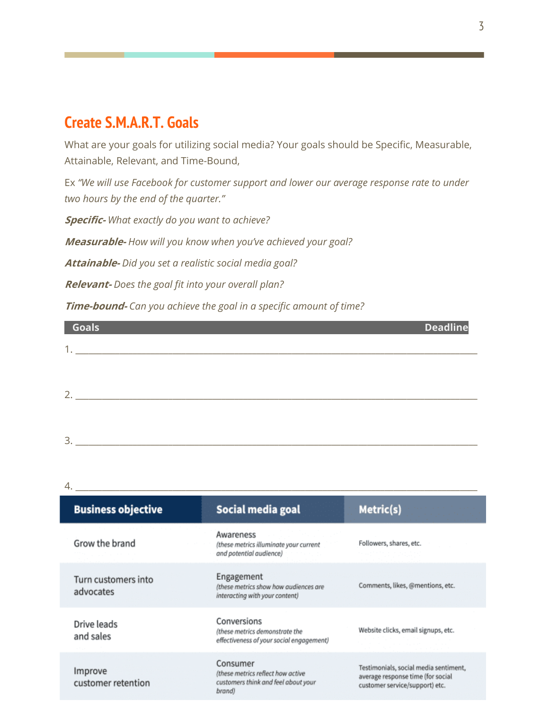#### **Create S.M.A.R.T. Goals**

What are your goals for utilizing social media? Your goals should be Specific, Measurable, Attainable, Relevant, and Time-Bound,

Ex *"We will use Facebook for customer support and lower our average response rate to under two hours by the end of the quarter."*

**Specific-** *What exactly do you want to achieve?* 

**Measurable-** *How will you know when you've achieved your goal?* 

**Attainable-** *Did you set a realistic social media goal?* 

 $3.$ 

**Relevant-** *Does the goal fit into your overall plan?*

**Time-bound-** *Can you achieve the goal in a specific amount of time?*

| Goals                     | <b>Deadline</b> |
|---------------------------|-----------------|
| 1                         |                 |
|                           |                 |
|                           |                 |
| $\mathcal{D}$<br><u>_</u> |                 |

| 4.                               |                                                                                                |                                                                                                              |
|----------------------------------|------------------------------------------------------------------------------------------------|--------------------------------------------------------------------------------------------------------------|
| <b>Business objective</b>        | Social media goal                                                                              | Metric(s)                                                                                                    |
| Grow the brand                   | Awareness<br>(these metrics illuminate your current<br>and potential audience)                 | Followers, shares, etc.                                                                                      |
| Turn customers into<br>advocates | Engagement<br>(these metrics show how audiences are<br>interacting with your content)          | Comments, likes, @mentions, etc.                                                                             |
| Drive leads<br>and sales         | Conversions<br>(these metrics demonstrate the<br>effectiveness of your social engagement)      | Website clicks, email signups, etc.                                                                          |
| Improve<br>customer retention    | Consumer<br>(these metrics reflect how active<br>customers think and feel about your<br>brand) | Testimonials, social media sentiment,<br>average response time (for social<br>customer service/support) etc. |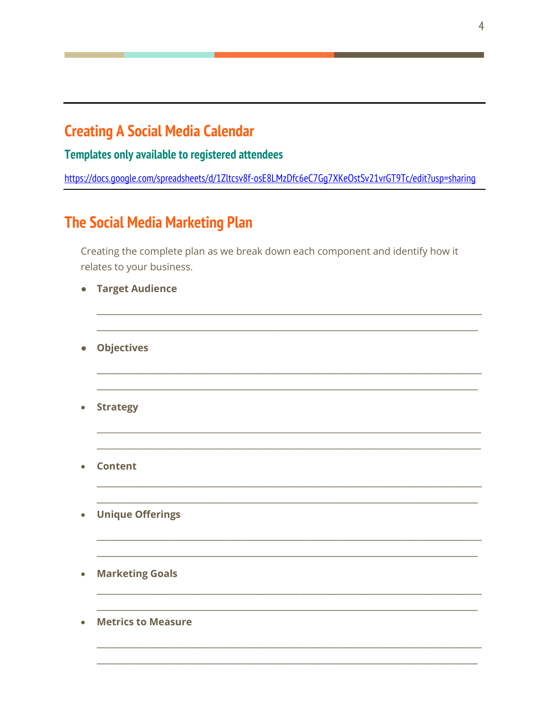#### **Creating A Social Media Calendar**

**Templates only available to registered attendees** 

https://docs.google.com/spreadsheets/d/1Zltcsv8f-osE8LMzDfc6eC7Gq7XKeOstSv21vrGT9Tc/edit?usp=sharing

## **The Social Media Marketing Plan**

Creating the complete plan as we break down each component and identify how it relates to your business.

| $\bullet$ | <b>Target Audience</b>    |
|-----------|---------------------------|
| $\bullet$ | <b>Objectives</b>         |
| $\bullet$ | <b>Strategy</b>           |
| $\bullet$ | <b>Content</b>            |
| $\bullet$ | <b>Unique Offerings</b>   |
| $\bullet$ | <b>Marketing Goals</b>    |
|           | <b>Metrics to Measure</b> |